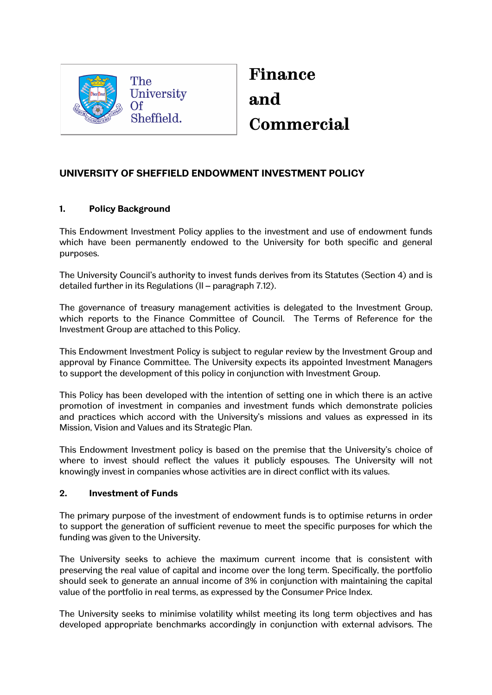

**Finance and Commercial**

# **UNIVERSITY OF SHEFFIELD ENDOWMENT INVESTMENT POLICY**

### **1. Policy Background**

This Endowment Investment Policy applies to the investment and use of endowment funds which have been permanently endowed to the University for both specific and general purposes.

The University Council's authority to invest funds derives from its Statutes (Section 4) and is detailed further in its Regulations (II – paragraph 7.12).

The governance of treasury management activities is delegated to the Investment Group, which reports to the Finance Committee of Council. The Terms of Reference for the Investment Group are attached to this Policy.

This Endowment Investment Policy is subject to regular review by the Investment Group and approval by Finance Committee. The University expects its appointed Investment Managers to support the development of this policy in conjunction with Investment Group.

This Policy has been developed with the intention of setting one in which there is an active promotion of investment in companies and investment funds which demonstrate policies and practices which accord with the University's missions and values as expressed in its Mission, Vision and Values and its Strategic Plan.

This Endowment Investment policy is based on the premise that the University's choice of where to invest should reflect the values it publicly espouses. The University will not knowingly invest in companies whose activities are in direct conflict with its values.

#### **2. Investment of Funds**

The primary purpose of the investment of endowment funds is to optimise returns in order to support the generation of sufficient revenue to meet the specific purposes for which the funding was given to the University.

The University seeks to achieve the maximum current income that is consistent with preserving the real value of capital and income over the long term. Specifically, the portfolio should seek to generate an annual income of 3% in conjunction with maintaining the capital value of the portfolio in real terms, as expressed by the Consumer Price Index.

The University seeks to minimise volatility whilst meeting its long term objectives and has developed appropriate benchmarks accordingly in conjunction with external advisors. The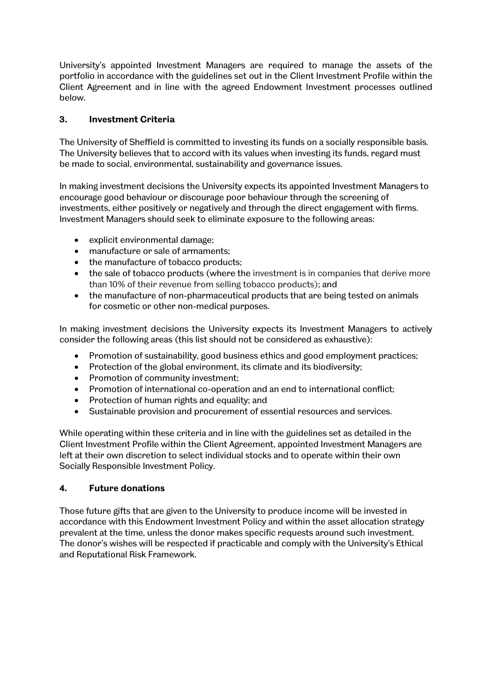University's appointed Investment Managers are required to manage the assets of the portfolio in accordance with the guidelines set out in the Client Investment Profile within the Client Agreement and in line with the agreed Endowment Investment processes outlined below.

## **3. Investment Criteria**

The University of Sheffield is committed to investing its funds on a socially responsible basis. The University believes that to accord with its values when investing its funds, regard must be made to social, environmental, sustainability and governance issues.

In making investment decisions the University expects its appointed Investment Managers to encourage good behaviour or discourage poor behaviour through the screening of investments, either positively or negatively and through the direct engagement with firms. Investment Managers should seek to eliminate exposure to the following areas:

- explicit environmental damage;
- manufacture or sale of armaments;
- the manufacture of tobacco products;
- the sale of tobacco products (where the investment is in companies that derive more than 10% of their revenue from selling tobacco products); and
- the manufacture of non-pharmaceutical products that are being tested on animals for cosmetic or other non-medical purposes.

In making investment decisions the University expects its Investment Managers to actively consider the following areas (this list should not be considered as exhaustive):

- Promotion of sustainability, good business ethics and good employment practices;
- Protection of the global environment, its climate and its biodiversity;
- Promotion of community investment;
- Promotion of international co-operation and an end to international conflict;
- Protection of human rights and equality; and
- Sustainable provision and procurement of essential resources and services.

While operating within these criteria and in line with the guidelines set as detailed in the Client Investment Profile within the Client Agreement, appointed Investment Managers are left at their own discretion to select individual stocks and to operate within their own Socially Responsible Investment Policy.

#### **4. Future donations**

Those future gifts that are given to the University to produce income will be invested in accordance with this Endowment Investment Policy and within the asset allocation strategy prevalent at the time, unless the donor makes specific requests around such investment. The donor's wishes will be respected if practicable and comply with the University's Ethical and Reputational Risk Framework.